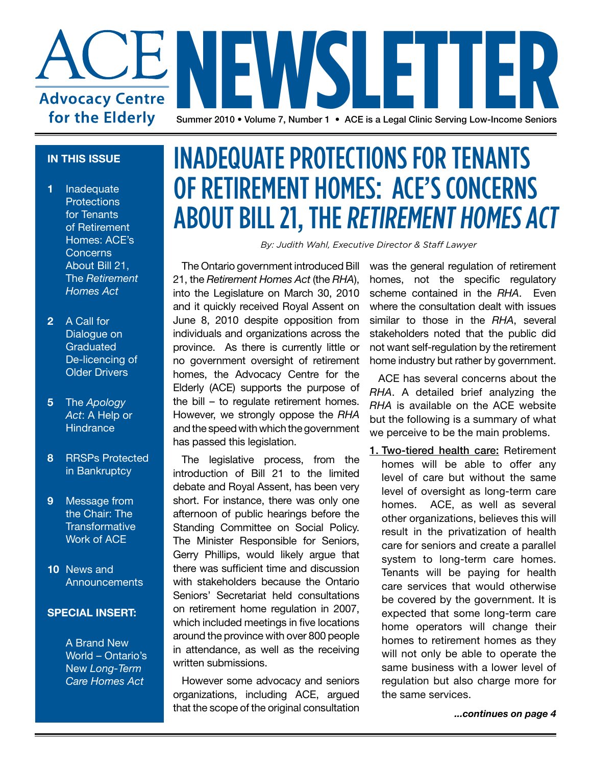

### **IN THIS ISSUE**

- **1** Inadequate **Protections** for Tenants of Retirement Homes: ACE's Concerns About Bill 21, The *Retirement Homes Act*
- **2** A Call for Dialogue on **Graduated** De-licencing of Older Drivers
- **5** The *Apology Act*: A Help or **Hindrance**
- **8** RRSPs Protected in Bankruptcy
- **9** Message from the Chair: The **Transformative** Work of ACE
- **10** News and **Announcements**

### **SPECIAL INSERT:**

A Brand New World – Ontario's New *Long-Term Care Homes Act*

### Inadequate Protections for Tenants of Retirement Homes: ACE's Concerns **ABOUT BILL 21, THE RETIREMENT HOMES ACT**

*By: Judith Wahl, Executive Director & Staff Lawyer*

The Ontario government introduced Bill 21, the *Retirement Homes Act* (the *RHA*), into the Legislature on March 30, 2010 and it quickly received Royal Assent on June 8, 2010 despite opposition from individuals and organizations across the province. As there is currently little or no government oversight of retirement homes, the Advocacy Centre for the Elderly (ACE) supports the purpose of the bill – to regulate retirement homes. However, we strongly oppose the *RHA* and the speed with which the government has passed this legislation.

The legislative process, from the introduction of Bill 21 to the limited debate and Royal Assent, has been very short. For instance, there was only one afternoon of public hearings before the Standing Committee on Social Policy. The Minister Responsible for Seniors, Gerry Phillips, would likely argue that there was sufficient time and discussion with stakeholders because the Ontario Seniors' Secretariat held consultations on retirement home regulation in 2007, which included meetings in five locations around the province with over 800 people in attendance, as well as the receiving written submissions.

However some advocacy and seniors organizations, including ACE, argued that the scope of the original consultation

was the general regulation of retirement homes, not the specific regulatory scheme contained in the *RHA*. Even where the consultation dealt with issues similar to those in the *RHA*, several stakeholders noted that the public did not want self-regulation by the retirement home industry but rather by government.

ACE has several concerns about the *RHA*. A detailed brief analyzing the *RHA* is available on the ACE website but the following is a summary of what we perceive to be the main problems.

1. Two-tiered health care: Retirement homes will be able to offer any level of care but without the same level of oversight as long-term care homes. ACE, as well as several other organizations, believes this will result in the privatization of health care for seniors and create a parallel system to long-term care homes. Tenants will be paying for health care services that would otherwise be covered by the government. It is expected that some long-term care home operators will change their homes to retirement homes as they will not only be able to operate the same business with a lower level of regulation but also charge more for the same services.

*...continues on page 4*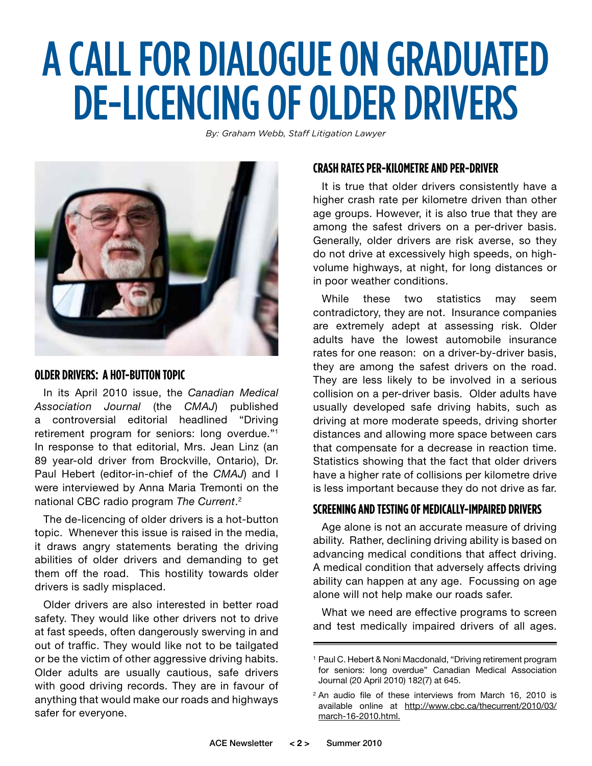## A CALLFOR DIALOGUE ON GRADUATED DE-LICENCING OF OLDER DRIVERS

*By: Graham Webb, Staff Litigation Lawyer*



#### **Older Drivers: A Hot-Button Topic**

In its April 2010 issue, the *Canadian Medical Association Journal* (the *CMAJ*) published a controversial editorial headlined "Driving retirement program for seniors: long overdue."1 In response to that editorial, Mrs. Jean Linz (an 89 year-old driver from Brockville, Ontario), Dr. Paul Hebert (editor-in-chief of the *CMAJ*) and I were interviewed by Anna Maria Tremonti on the national CBC radio program *The Current*. 2

The de-licencing of older drivers is a hot-button topic. Whenever this issue is raised in the media, it draws angry statements berating the driving abilities of older drivers and demanding to get them off the road. This hostility towards older drivers is sadly misplaced.

Older drivers are also interested in better road safety. They would like other drivers not to drive at fast speeds, often dangerously swerving in and out of traffic. They would like not to be tailgated or be the victim of other aggressive driving habits. Older adults are usually cautious, safe drivers with good driving records. They are in favour of anything that would make our roads and highways safer for everyone.

### **Crash Rates per-Kilometreand per-Driver**

It is true that older drivers consistently have a higher crash rate per kilometre driven than other age groups. However, it is also true that they are among the safest drivers on a per-driver basis. Generally, older drivers are risk averse, so they do not drive at excessively high speeds, on highvolume highways, at night, for long distances or in poor weather conditions.

While these two statistics may seem contradictory, they are not. Insurance companies are extremely adept at assessing risk. Older adults have the lowest automobile insurance rates for one reason: on a driver-by-driver basis, they are among the safest drivers on the road. They are less likely to be involved in a serious collision on a per-driver basis. Older adults have usually developed safe driving habits, such as driving at more moderate speeds, driving shorter distances and allowing more space between cars that compensate for a decrease in reaction time. Statistics showing that the fact that older drivers have a higher rate of collisions per kilometre drive is less important because they do not drive as far.

### **Screening and Testing of Medically-Impaired Drivers**

Age alone is not an accurate measure of driving ability. Rather, declining driving ability is based on advancing medical conditions that affect driving. A medical condition that adversely affects driving ability can happen at any age. Focussing on age alone will not help make our roads safer.

What we need are effective programs to screen and test medically impaired drivers of all ages.

<sup>&</sup>lt;sup>1</sup> Paul C. Hebert & Noni Macdonald, "Driving retirement program for seniors: long overdue" Canadian Medical Association Journal (20 April 2010) 182(7) at 645.

<sup>&</sup>lt;sup>2</sup> An audio file of these interviews from March 16, 2010 is available online at http://www.cbc.ca/thecurrent/2010/03/ march-16-2010.html.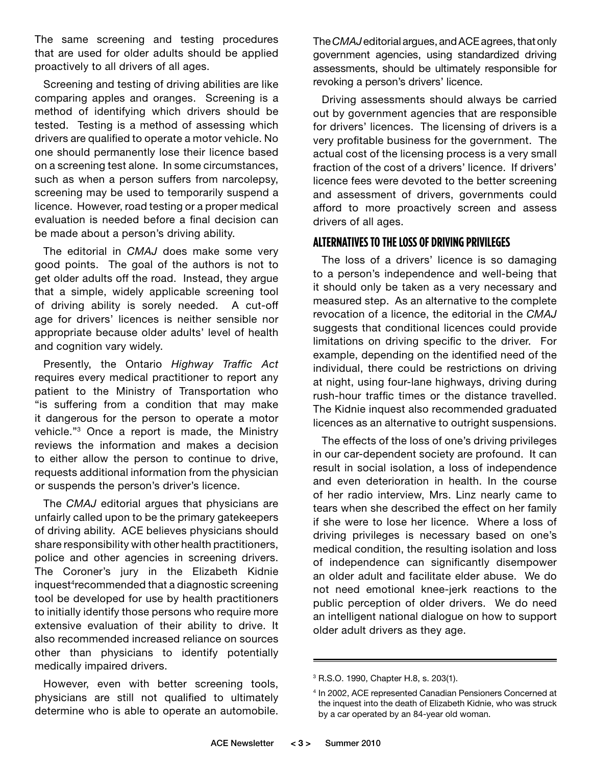The same screening and testing procedures that are used for older adults should be applied proactively to all drivers of all ages.

Screening and testing of driving abilities are like comparing apples and oranges. Screening is a method of identifying which drivers should be tested. Testing is a method of assessing which drivers are qualified to operate a motor vehicle. No one should permanently lose their licence based on a screening test alone. In some circumstances, such as when a person suffers from narcolepsy, screening may be used to temporarily suspend a licence. However, road testing or a proper medical evaluation is needed before a final decision can be made about a person's driving ability.

The editorial in *CMAJ* does make some very good points. The goal of the authors is not to get older adults off the road. Instead, they argue that a simple, widely applicable screening tool of driving ability is sorely needed. A cut-off age for drivers' licences is neither sensible nor appropriate because older adults' level of health and cognition vary widely.

Presently, the Ontario *Highway Traffic Act* requires every medical practitioner to report any patient to the Ministry of Transportation who "is suffering from a condition that may make it dangerous for the person to operate a motor vehicle."3 Once a report is made, the Ministry reviews the information and makes a decision to either allow the person to continue to drive, requests additional information from the physician or suspends the person's driver's licence.

The *CMAJ* editorial argues that physicians are unfairly called upon to be the primary gatekeepers of driving ability. ACE believes physicians should share responsibility with other health practitioners, police and other agencies in screening drivers. The Coroner's jury in the Elizabeth Kidnie inquest<sup>4</sup>recommended that a diagnostic screening tool be developed for use by health practitioners to initially identify those persons who require more extensive evaluation of their ability to drive. It also recommended increased reliance on sources other than physicians to identify potentially medically impaired drivers.

However, even with better screening tools, physicians are still not qualified to ultimately determine who is able to operate an automobile.

The *CMAJ* editorial argues, and ACE agrees, that only government agencies, using standardized driving assessments, should be ultimately responsible for revoking a person's drivers' licence.

Driving assessments should always be carried out by government agencies that are responsible for drivers' licences. The licensing of drivers is a very profitable business for the government. The actual cost of the licensing process is a very small fraction of the cost of a drivers' licence. If drivers' licence fees were devoted to the better screening and assessment of drivers, governments could afford to more proactively screen and assess drivers of all ages.

### **Alternativesto the Loss of Driving Privileges**

The loss of a drivers' licence is so damaging to a person's independence and well-being that it should only be taken as a very necessary and measured step. As an alternative to the complete revocation of a licence, the editorial in the *CMAJ*  suggests that conditional licences could provide limitations on driving specific to the driver. For example, depending on the identified need of the individual, there could be restrictions on driving at night, using four-lane highways, driving during rush-hour traffic times or the distance travelled. The Kidnie inquest also recommended graduated licences as an alternative to outright suspensions.

The effects of the loss of one's driving privileges in our car-dependent society are profound. It can result in social isolation, a loss of independence and even deterioration in health. In the course of her radio interview, Mrs. Linz nearly came to tears when she described the effect on her family if she were to lose her licence. Where a loss of driving privileges is necessary based on one's medical condition, the resulting isolation and loss of independence can significantly disempower an older adult and facilitate elder abuse. We do not need emotional knee-jerk reactions to the public perception of older drivers. We do need an intelligent national dialogue on how to support older adult drivers as they age.

<sup>3</sup> R.S.O. 1990, Chapter H.8, s. 203(1).

<sup>4</sup> In 2002, ACE represented Canadian Pensioners Concerned at the inquest into the death of Elizabeth Kidnie, who was struck by a car operated by an 84-year old woman.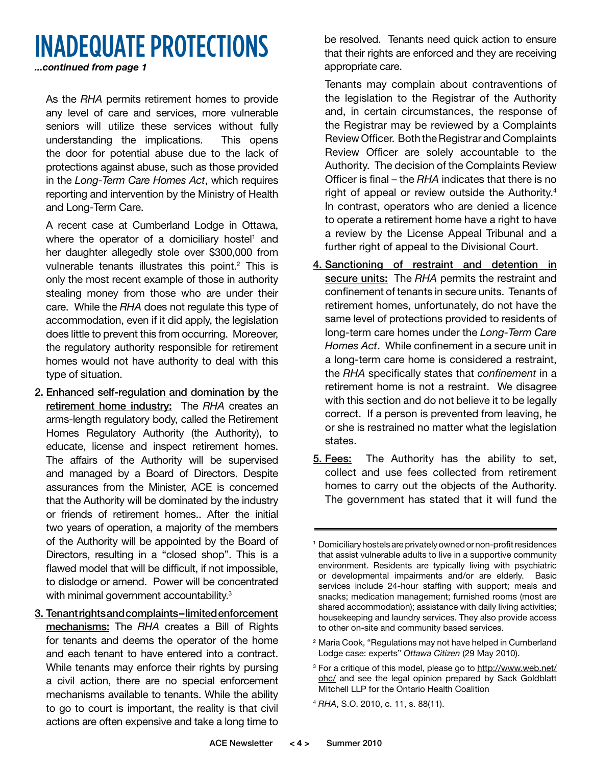### Inadequate Protections

*...continued from page 1*

 As the *RHA* permits retirement homes to provide any level of care and services, more vulnerable seniors will utilize these services without fully understanding the implications. This opens the door for potential abuse due to the lack of protections against abuse, such as those provided in the *Long-Term Care Homes Act*, which requires reporting and intervention by the Ministry of Health and Long-Term Care.

 A recent case at Cumberland Lodge in Ottawa, where the operator of a domiciliary hostel<sup>1</sup> and her daughter allegedly stole over \$300,000 from vulnerable tenants illustrates this point. $2$  This is only the most recent example of those in authority stealing money from those who are under their care. While the *RHA* does not regulate this type of accommodation, even if it did apply, the legislation does little to prevent this from occurring. Moreover, the regulatory authority responsible for retirement homes would not have authority to deal with this type of situation.

- 2. Enhanced self-regulation and domination by the retirement home industry: The *RHA* creates an arms-length regulatory body, called the Retirement Homes Regulatory Authority (the Authority), to educate, license and inspect retirement homes. The affairs of the Authority will be supervised and managed by a Board of Directors. Despite assurances from the Minister, ACE is concerned that the Authority will be dominated by the industry or friends of retirement homes.. After the initial two years of operation, a majority of the members of the Authority will be appointed by the Board of Directors, resulting in a "closed shop". This is a flawed model that will be difficult, if not impossible, to dislodge or amend. Power will be concentrated with minimal government accountability.<sup>3</sup>
- 3. Tenant rights and complaints limited enforcement mechanisms: The *RHA* creates a Bill of Rights for tenants and deems the operator of the home and each tenant to have entered into a contract. While tenants may enforce their rights by pursing a civil action, there are no special enforcement mechanisms available to tenants. While the ability to go to court is important, the reality is that civil actions are often expensive and take a long time to

be resolved. Tenants need quick action to ensure that their rights are enforced and they are receiving appropriate care.

 Tenants may complain about contraventions of the legislation to the Registrar of the Authority and, in certain circumstances, the response of the Registrar may be reviewed by a Complaints Review Officer. Both the Registrar and Complaints Review Officer are solely accountable to the Authority. The decision of the Complaints Review Officer is final – the *RHA* indicates that there is no right of appeal or review outside the Authority.<sup>4</sup> In contrast, operators who are denied a licence to operate a retirement home have a right to have a review by the License Appeal Tribunal and a further right of appeal to the Divisional Court.

- 4. Sanctioning of restraint and detention in secure units: The *RHA* permits the restraint and confinement of tenants in secure units. Tenants of retirement homes, unfortunately, do not have the same level of protections provided to residents of long-term care homes under the *Long-Term Care Homes Act*. While confinement in a secure unit in a long-term care home is considered a restraint, the *RHA* specifically states that *confinement* in a retirement home is not a restraint. We disagree with this section and do not believe it to be legally correct. If a person is prevented from leaving, he or she is restrained no matter what the legislation states.
- **5. Fees:** The Authority has the ability to set, collect and use fees collected from retirement homes to carry out the objects of the Authority. The government has stated that it will fund the

- <sup>2</sup> Maria Cook, "Regulations may not have helped in Cumberland Lodge case: experts" *Ottawa Citizen* (29 May 2010).
- <sup>3</sup> For a critique of this model, please go to http://www.web.net/ ohc/ and see the legal opinion prepared by Sack Goldblatt Mitchell LLP for the Ontario Health Coalition
- <sup>4</sup> *RHA*, S.O. 2010, c. 11, s. 88(11).

<sup>1</sup> Domiciliary hostels are privately owned or non-profit residences that assist vulnerable adults to live in a supportive community environment. Residents are typically living with psychiatric or developmental impairments and/or are elderly. Basic services include 24-hour staffing with support; meals and snacks; medication management; furnished rooms (most are shared accommodation); assistance with daily living activities; housekeeping and laundry services. They also provide access to other on-site and community based services.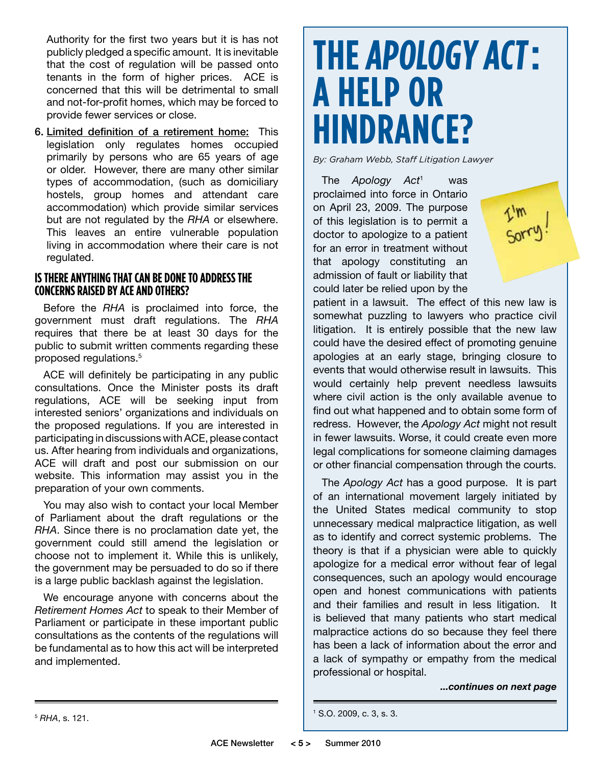Authority for the first two years but it is has not publicly pledged a specific amount. It is inevitable that the cost of regulation will be passed onto tenants in the form of higher prices. ACE is concerned that this will be detrimental to small and not-for-profit homes, which may be forced to provide fewer services or close.

6. Limited definition of a retirement home: This legislation only regulates homes occupied primarily by persons who are 65 years of age or older. However, there are many other similar types of accommodation, (such as domiciliary hostels, group homes and attendant care accommodation) which provide similar services but are not regulated by the *RHA* or elsewhere. This leaves an entire vulnerable population living in accommodation where their care is not regulated.

### **IS THERE ANYTHING THAT CAN BE DONE TO ADDRESS THE Concerns Raised by ACE and Others?**

Before the *RHA* is proclaimed into force, the government must draft regulations. The *RHA*  requires that there be at least 30 days for the public to submit written comments regarding these proposed regulations.<sup>5</sup>

ACE will definitely be participating in any public consultations. Once the Minister posts its draft regulations, ACE will be seeking input from interested seniors' organizations and individuals on the proposed regulations. If you are interested in participating in discussions with ACE, please contact us. After hearing from individuals and organizations, ACE will draft and post our submission on our website. This information may assist you in the preparation of your own comments.

You may also wish to contact your local Member of Parliament about the draft regulations or the *RHA*. Since there is no proclamation date yet, the government could still amend the legislation or choose not to implement it. While this is unlikely, the government may be persuaded to do so if there is a large public backlash against the legislation.

We encourage anyone with concerns about the *Retirement Homes Act* to speak to their Member of Parliament or participate in these important public consultations as the contents of the regulations will be fundamental as to how this act will be interpreted and implemented.

### **THE APOLOGY ACT: A HELP OR HINDRANCE?**

*By: Graham Webb, Staff Litigation Lawyer*

The *Apology Act*<sup>1</sup> was proclaimed into force in Ontario on April 23, 2009. The purpose of this legislation is to permit a doctor to apologize to a patient for an error in treatment without that apology constituting an admission of fault or liability that could later be relied upon by the



patient in a lawsuit. The effect of this new law is somewhat puzzling to lawyers who practice civil litigation. It is entirely possible that the new law could have the desired effect of promoting genuine apologies at an early stage, bringing closure to events that would otherwise result in lawsuits. This would certainly help prevent needless lawsuits where civil action is the only available avenue to find out what happened and to obtain some form of redress. However, the *Apology Act* might not result in fewer lawsuits. Worse, it could create even more legal complications for someone claiming damages or other financial compensation through the courts.

The *Apology Act* has a good purpose. It is part of an international movement largely initiated by the United States medical community to stop unnecessary medical malpractice litigation, as well as to identify and correct systemic problems. The theory is that if a physician were able to quickly apologize for a medical error without fear of legal consequences, such an apology would encourage open and honest communications with patients and their families and result in less litigation. It is believed that many patients who start medical malpractice actions do so because they feel there has been a lack of information about the error and a lack of sympathy or empathy from the medical professional or hospital.

*...continues on next page*

```
1 S.O. 2009, c. 3, s. 3.
```
<sup>5</sup> *RHA*, s. 121.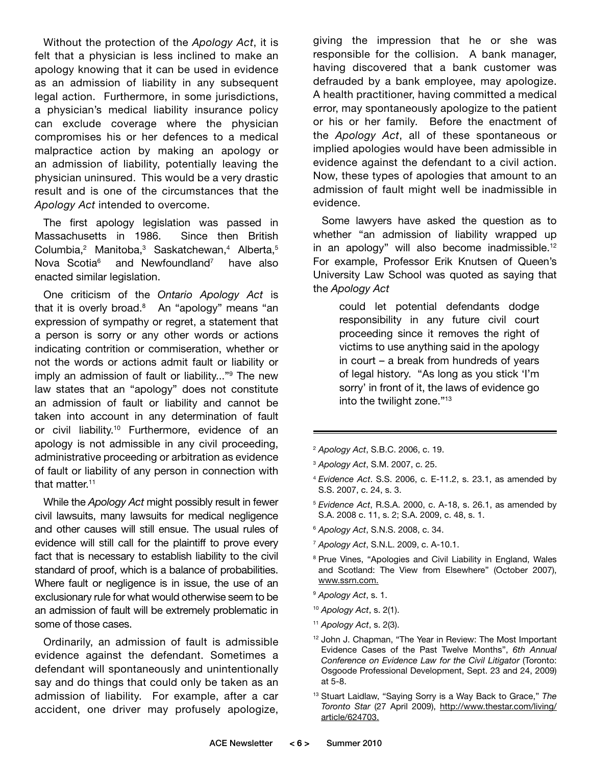Without the protection of the *Apology Act*, it is felt that a physician is less inclined to make an apology knowing that it can be used in evidence as an admission of liability in any subsequent legal action. Furthermore, in some jurisdictions, a physician's medical liability insurance policy can exclude coverage where the physician compromises his or her defences to a medical malpractice action by making an apology or an admission of liability, potentially leaving the physician uninsured. This would be a very drastic result and is one of the circumstances that the *Apology Act* intended to overcome.

The first apology legislation was passed in Massachusetts in 1986. Since then British Columbia,<sup>2</sup> Manitoba,<sup>3</sup> Saskatchewan,<sup>4</sup> Alberta,<sup>5</sup> Nova Scotia<sup>6</sup> and Newfoundland<sup>7</sup> have also enacted similar legislation.

One criticism of the *Ontario Apology Act* is that it is overly broad.<sup>8</sup> An "apology" means "an expression of sympathy or regret, a statement that a person is sorry or any other words or actions indicating contrition or commiseration, whether or not the words or actions admit fault or liability or imply an admission of fault or liability..."<sup>9</sup> The new law states that an "apology" does not constitute an admission of fault or liability and cannot be taken into account in any determination of fault or civil liability.<sup>10</sup> Furthermore, evidence of an apology is not admissible in any civil proceeding, administrative proceeding or arbitration as evidence of fault or liability of any person in connection with that matter.<sup>11</sup>

While the *Apology Act* might possibly result in fewer civil lawsuits, many lawsuits for medical negligence and other causes will still ensue. The usual rules of evidence will still call for the plaintiff to prove every fact that is necessary to establish liability to the civil standard of proof, which is a balance of probabilities. Where fault or negligence is in issue, the use of an exclusionary rule for what would otherwise seem to be an admission of fault will be extremely problematic in some of those cases.

Ordinarily, an admission of fault is admissible evidence against the defendant. Sometimes a defendant will spontaneously and unintentionally say and do things that could only be taken as an admission of liability. For example, after a car accident, one driver may profusely apologize,

giving the impression that he or she was responsible for the collision. A bank manager, having discovered that a bank customer was defrauded by a bank employee, may apologize. A health practitioner, having committed a medical error, may spontaneously apologize to the patient or his or her family. Before the enactment of the *Apology Act*, all of these spontaneous or implied apologies would have been admissible in evidence against the defendant to a civil action. Now, these types of apologies that amount to an admission of fault might well be inadmissible in evidence.

Some lawyers have asked the question as to whether "an admission of liability wrapped up in an apology" will also become inadmissible.<sup>12</sup> For example, Professor Erik Knutsen of Queen's University Law School was quoted as saying that the *Apology Act*

> could let potential defendants dodge responsibility in any future civil court proceeding since it removes the right of victims to use anything said in the apology in court – a break from hundreds of years of legal history. "As long as you stick 'I'm sorry' in front of it, the laws of evidence go into the twilight zone."13

- <sup>2</sup> *Apology Act*, S.B.C. 2006, c. 19.
- <sup>3</sup> *Apology Act*, S.M. 2007, c. 25.
- <sup>4</sup> *Evidence Act*. S.S. 2006, c. E-11.2, s. 23.1, as amended by S.S. 2007, c. 24, s. 3.
- <sup>5</sup> *Evidence Act*, R.S.A. 2000, c. A-18, s. 26.1, as amended by S.A. 2008 c. 11, s. 2; S.A. 2009, c. 48, s. 1.
- <sup>6</sup> *Apology Act*, S.N.S. 2008, c. 34.
- <sup>7</sup> *Apology Act*, S.N.L. 2009, c. A-10.1.
- <sup>8</sup> Prue Vines, "Apologies and Civil Liability in England, Wales and Scotland: The View from Elsewhere" (October 2007), www.ssrn.com.
- <sup>9</sup> *Apology Act*, s. 1.
- <sup>10</sup> *Apology Act*, s. 2(1).
- <sup>11</sup> *Apology Act*, s. 2(3).
- <sup>12</sup> John J. Chapman, "The Year in Review: The Most Important Evidence Cases of the Past Twelve Months", *6th Annual Conference on Evidence Law for the Civil Litigator* (Toronto: Osgoode Professional Development, Sept. 23 and 24, 2009) at 5-8.
- <sup>13</sup> Stuart Laidlaw, "Saying Sorry is a Way Back to Grace," *The Toronto Star* (27 April 2009), http://www.thestar.com/living/ article/624703.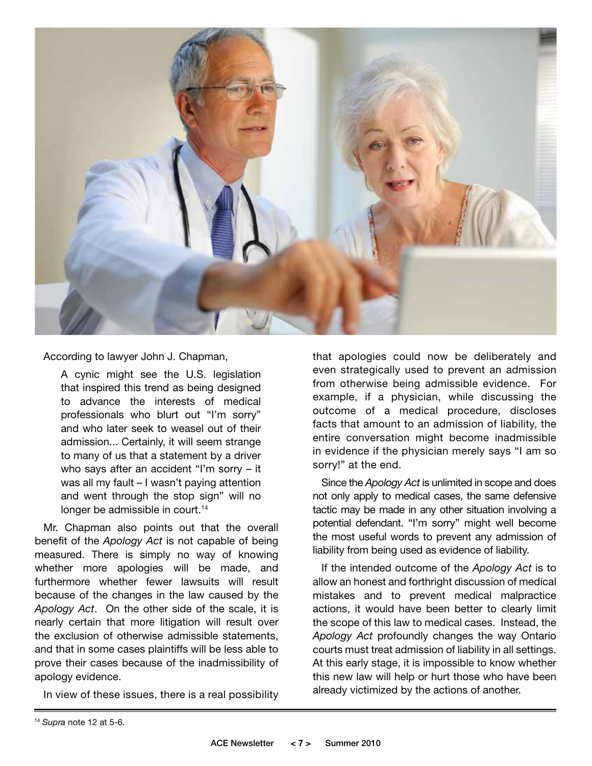

According to lawyer John J. Chapman,

A cynic might see the U.S. legislation that inspired this trend as being designed to advance the interests of medical professionals who blurt out "I'm sorry" and who later seek to weasel out of their admission... Certainly, it will seem strange to many of us that a statement by a driver who says after an accident "I'm sorry – it was all my fault – I wasn't paying attention and went through the stop sign" will no longer be admissible in court.<sup>14</sup>

Mr. Chapman also points out that the overall benefit of the *Apology Act* is not capable of being measured. There is simply no way of knowing whether more apologies will be made, and furthermore whether fewer lawsuits will result because of the changes in the law caused by the *Apology Act*. On the other side of the scale, it is nearly certain that more litigation will result over the exclusion of otherwise admissible statements, and that in some cases plaintiffs will be less able to prove their cases because of the inadmissibility of apology evidence.

In view of these issues, there is a real possibility

that apologies could now be deliberately and even strategically used to prevent an admission from otherwise being admissible evidence. For example, if a physician, while discussing the outcome of a medical procedure, discloses facts that amount to an admission of liability, the entire conversation might become inadmissible in evidence if the physician merely says "I am so sorry!" at the end.

Since the *Apology Act* is unlimited in scope and does not only apply to medical cases, the same defensive tactic may be made in any other situation involving a potential defendant. "I'm sorry" might well become the most useful words to prevent any admission of liability from being used as evidence of liability.

If the intended outcome of the *Apology Act* is to allow an honest and forthright discussion of medical mistakes and to prevent medical malpractice actions, it would have been better to clearly limit the scope of this law to medical cases. Instead, the *Apology Act* profoundly changes the way Ontario courts must treat admission of liability in all settings. At this early stage, it is impossible to know whether this new law will help or hurt those who have been already victimized by the actions of another.

<sup>14</sup> *Supra* note 12 at 5-6.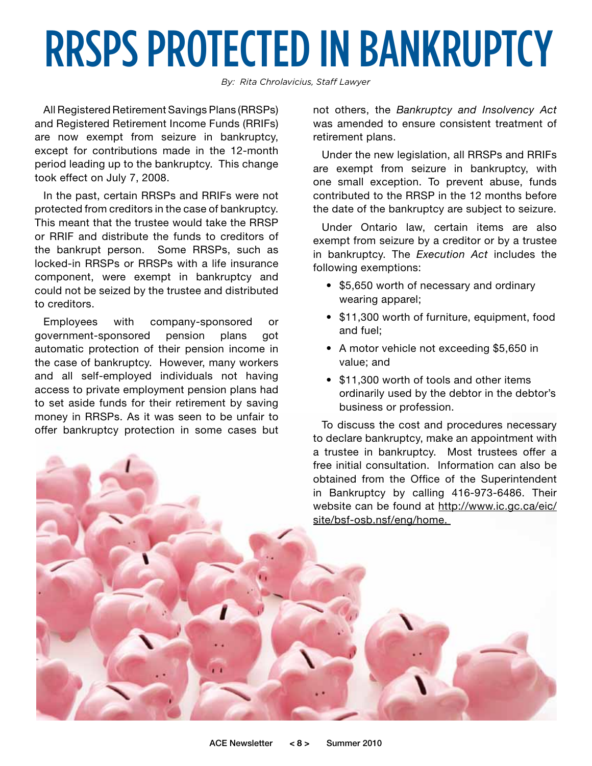## RRSPs PROTECTED IN BANKRUPTCY

*By: Rita Chrolavicius, Staff Lawyer*

All Registered Retirement Savings Plans (RRSPs) and Registered Retirement Income Funds (RRIFs) are now exempt from seizure in bankruptcy, except for contributions made in the 12-month period leading up to the bankruptcy. This change took effect on July 7, 2008.

In the past, certain RRSPs and RRIFs were not protected from creditors in the case of bankruptcy. This meant that the trustee would take the RRSP or RRIF and distribute the funds to creditors of the bankrupt person. Some RRSPs, such as locked-in RRSPs or RRSPs with a life insurance component, were exempt in bankruptcy and could not be seized by the trustee and distributed to creditors.

Employees with company-sponsored or government-sponsored pension plans got automatic protection of their pension income in the case of bankruptcy. However, many workers and all self-employed individuals not having access to private employment pension plans had to set aside funds for their retirement by saving money in RRSPs. As it was seen to be unfair to offer bankruptcy protection in some cases but not others, the *Bankruptcy and Insolvency Act*  was amended to ensure consistent treatment of retirement plans.

Under the new legislation, all RRSPs and RRIFs are exempt from seizure in bankruptcy, with one small exception. To prevent abuse, funds contributed to the RRSP in the 12 months before the date of the bankruptcy are subject to seizure.

Under Ontario law, certain items are also exempt from seizure by a creditor or by a trustee in bankruptcy. The *Execution Act* includes the following exemptions:

- \$5,650 worth of necessary and ordinary wearing apparel;
- \$11,300 worth of furniture, equipment, food and fuel;
- A motor vehicle not exceeding \$5,650 in value; and
- \$11,300 worth of tools and other items ordinarily used by the debtor in the debtor's business or profession.

To discuss the cost and procedures necessary to declare bankruptcy, make an appointment with a trustee in bankruptcy. Most trustees offer a free initial consultation. Information can also be obtained from the Office of the Superintendent in Bankruptcy by calling 416-973-6486. Their website can be found at http://www.ic.gc.ca/eic/ site/bsf-osb.nsf/eng/home.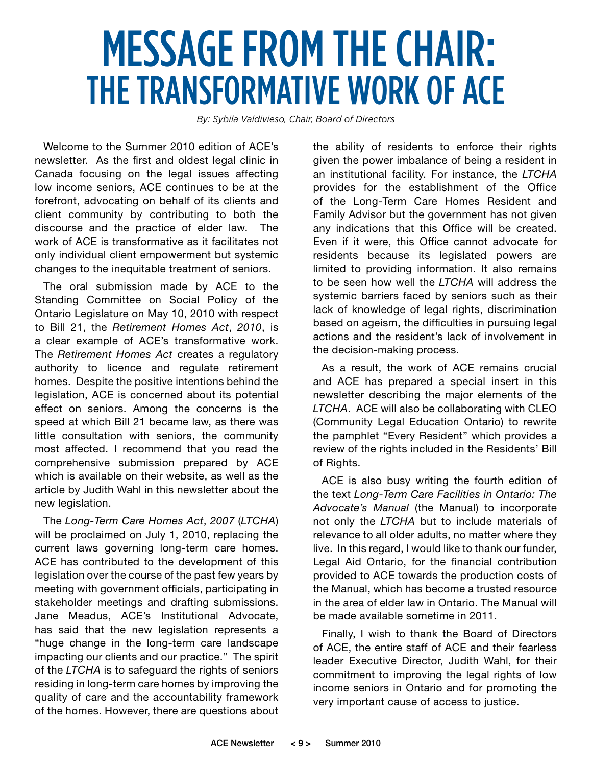### Message from the Chair: The Transformative Work of ACE

*By: Sybila Valdivieso, Chair, Board of Directors*

Welcome to the Summer 2010 edition of ACE's newsletter. As the first and oldest legal clinic in Canada focusing on the legal issues affecting low income seniors, ACE continues to be at the forefront, advocating on behalf of its clients and client community by contributing to both the discourse and the practice of elder law. The work of ACE is transformative as it facilitates not only individual client empowerment but systemic changes to the inequitable treatment of seniors.

The oral submission made by ACE to the Standing Committee on Social Policy of the Ontario Legislature on May 10, 2010 with respect to Bill 21, the *Retirement Homes Act*, *2010*, is a clear example of ACE's transformative work. The *Retirement Homes Act* creates a regulatory authority to licence and regulate retirement homes. Despite the positive intentions behind the legislation, ACE is concerned about its potential effect on seniors. Among the concerns is the speed at which Bill 21 became law, as there was little consultation with seniors, the community most affected. I recommend that you read the comprehensive submission prepared by ACE which is available on their website, as well as the article by Judith Wahl in this newsletter about the new legislation.

The *Long-Term Care Homes Act*, *2007* (*LTCHA*) will be proclaimed on July 1, 2010, replacing the current laws governing long-term care homes. ACE has contributed to the development of this legislation over the course of the past few years by meeting with government officials, participating in stakeholder meetings and drafting submissions. Jane Meadus, ACE's Institutional Advocate, has said that the new legislation represents a "huge change in the long-term care landscape impacting our clients and our practice." The spirit of the *LTCHA* is to safeguard the rights of seniors residing in long-term care homes by improving the quality of care and the accountability framework of the homes. However, there are questions about

the ability of residents to enforce their rights given the power imbalance of being a resident in an institutional facility. For instance, the *LTCHA* provides for the establishment of the Office of the Long-Term Care Homes Resident and Family Advisor but the government has not given any indications that this Office will be created. Even if it were, this Office cannot advocate for residents because its legislated powers are limited to providing information. It also remains to be seen how well the *LTCHA* will address the systemic barriers faced by seniors such as their lack of knowledge of legal rights, discrimination based on ageism, the difficulties in pursuing legal actions and the resident's lack of involvement in the decision-making process.

As a result, the work of ACE remains crucial and ACE has prepared a special insert in this newsletter describing the major elements of the *LTCHA*. ACE will also be collaborating with CLEO (Community Legal Education Ontario) to rewrite the pamphlet "Every Resident" which provides a review of the rights included in the Residents' Bill of Rights.

ACE is also busy writing the fourth edition of the text *Long-Term Care Facilities in Ontario: The Advocate's Manual* (the Manual) to incorporate not only the *LTCHA* but to include materials of relevance to all older adults, no matter where they live. In this regard, I would like to thank our funder, Legal Aid Ontario, for the financial contribution provided to ACE towards the production costs of the Manual, which has become a trusted resource in the area of elder law in Ontario. The Manual will be made available sometime in 2011.

Finally, I wish to thank the Board of Directors of ACE, the entire staff of ACE and their fearless leader Executive Director, Judith Wahl, for their commitment to improving the legal rights of low income seniors in Ontario and for promoting the very important cause of access to justice.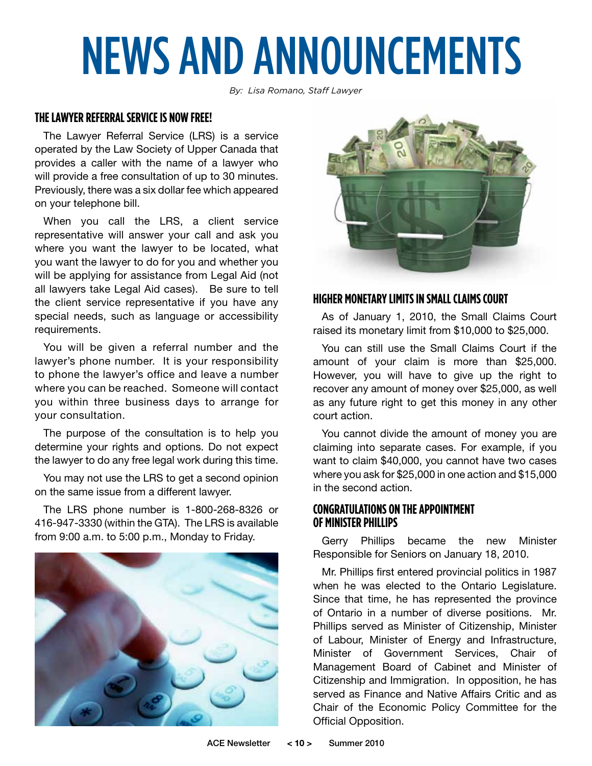# NEWS AND ANNOUNCEMENTS

*By: Lisa Romano, Staff Lawyer*

### **The Lawyer Referral Service is now Free!**

The Lawyer Referral Service (LRS) is a service operated by the Law Society of Upper Canada that provides a caller with the name of a lawyer who will provide a free consultation of up to 30 minutes. Previously, there was a six dollar fee which appeared on your telephone bill.

When you call the LRS, a client service representative will answer your call and ask you where you want the lawyer to be located, what you want the lawyer to do for you and whether you will be applying for assistance from Legal Aid (not all lawyers take Legal Aid cases). Be sure to tell the client service representative if you have any special needs, such as language or accessibility requirements.

You will be given a referral number and the lawyer's phone number. It is your responsibility to phone the lawyer's office and leave a number where you can be reached. Someone will contact you within three business days to arrange for your consultation.

The purpose of the consultation is to help you determine your rights and options. Do not expect the lawyer to do any free legal work during this time.

You may not use the LRS to get a second opinion on the same issue from a different lawyer.

The LRS phone number is 1-800-268-8326 or 416-947-3330 (within the GTA). The LRS is available from 9:00 a.m. to 5:00 p.m., Monday to Friday.





### **HIGHER MONETARY LIMITS IN SMALL CLAIMS COURT**

As of January 1, 2010, the Small Claims Court raised its monetary limit from \$10,000 to \$25,000.

You can still use the Small Claims Court if the amount of your claim is more than \$25,000. However, you will have to give up the right to recover any amount of money over \$25,000, as well as any future right to get this money in any other court action.

You cannot divide the amount of money you are claiming into separate cases. For example, if you want to claim \$40,000, you cannot have two cases where you ask for \$25,000 in one action and \$15,000 in the second action.

### **Congratulations on the Appointment OF MINISTER PHILLIPS**

Gerry Phillips became the new Minister Responsible for Seniors on January 18, 2010.

Mr. Phillips first entered provincial politics in 1987 when he was elected to the Ontario Legislature. Since that time, he has represented the province of Ontario in a number of diverse positions. Mr. Phillips served as Minister of Citizenship, Minister of Labour, Minister of Energy and Infrastructure, Minister of Government Services, Chair of Management Board of Cabinet and Minister of Citizenship and Immigration. In opposition, he has served as Finance and Native Affairs Critic and as Chair of the Economic Policy Committee for the Official Opposition.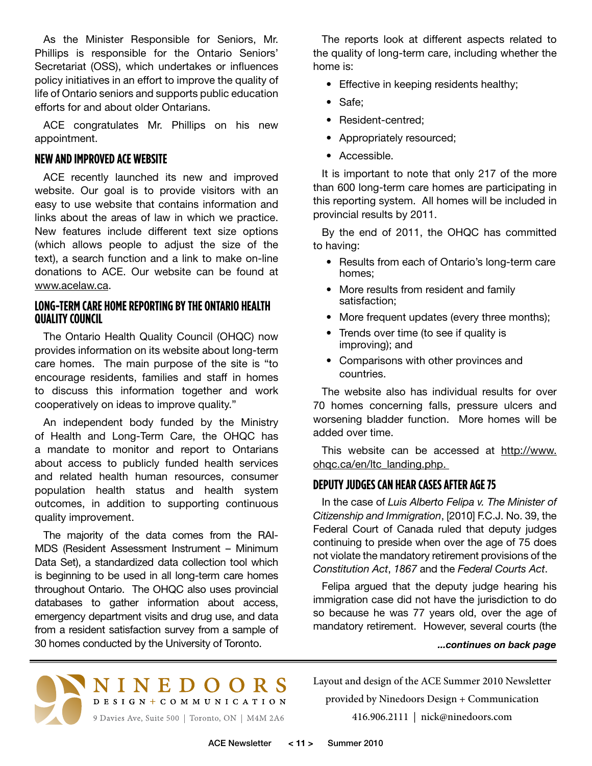As the Minister Responsible for Seniors, Mr. Phillips is responsible for the Ontario Seniors' Secretariat (OSS), which undertakes or influences policy initiatives in an effort to improve the quality of life of Ontario seniors and supports public education efforts for and about older Ontarians.

ACE congratulates Mr. Phillips on his new appointment.

### **New and Improved ACE Website**

ACE recently launched its new and improved website. Our goal is to provide visitors with an easy to use website that contains information and links about the areas of law in which we practice. New features include different text size options (which allows people to adjust the size of the text), a search function and a link to make on-line donations to ACE. Our website can be found at www.acelaw.ca.

### **Long-Term Care Home Reporting by the Ontario Health Quality Council**

The Ontario Health Quality Council (OHQC) now provides information on its website about long-term care homes. The main purpose of the site is "to encourage residents, families and staff in homes to discuss this information together and work cooperatively on ideas to improve quality."

An independent body funded by the Ministry of Health and Long-Term Care, the OHQC has a mandate to monitor and report to Ontarians about access to publicly funded health services and related health human resources, consumer population health status and health system outcomes, in addition to supporting continuous quality improvement.

The majority of the data comes from the RAI-MDS (Resident Assessment Instrument – Minimum Data Set), a standardized data collection tool which is beginning to be used in all long-term care homes throughout Ontario. The OHQC also uses provincial databases to gather information about access, emergency department visits and drug use, and data from a resident satisfaction survey from a sample of 30 homes conducted by the University of Toronto.

The reports look at different aspects related to the quality of long-term care, including whether the home is:

- Effective in keeping residents healthy;
- Safe;
- Resident-centred;
- Appropriately resourced;
- Accessible.

It is important to note that only 217 of the more than 600 long-term care homes are participating in this reporting system. All homes will be included in provincial results by 2011.

By the end of 2011, the OHQC has committed to having:

- Results from each of Ontario's long-term care homes;
- More results from resident and family satisfaction;
- More frequent updates (every three months);
- Trends over time (to see if quality is improving); and
- Comparisons with other provinces and countries.

The website also has individual results for over 70 homes concerning falls, pressure ulcers and worsening bladder function. More homes will be added over time.

This website can be accessed at http://www. ohqc.ca/en/ltc\_landing.php.

### **DEPUTY JUDGES CAN HEAR CASES AFTER AGE 75**

In the case of *Luis Alberto Felipa v. The Minister of Citizenship and Immigration*, [2010] F.C.J. No. 39, the Federal Court of Canada ruled that deputy judges continuing to preside when over the age of 75 does not violate the mandatory retirement provisions of the *Constitution Act*, *1867* and the *Federal Courts Act*.

Felipa argued that the deputy judge hearing his immigration case did not have the jurisdiction to do so because he was 77 years old, over the age of mandatory retirement. However, several courts (the

#### *...continues on back page*



Layout and design of the ACE Summer 2010 Newsletter provided by Ninedoors Design + Communication 416.906.2111 | nick@ninedoors.com